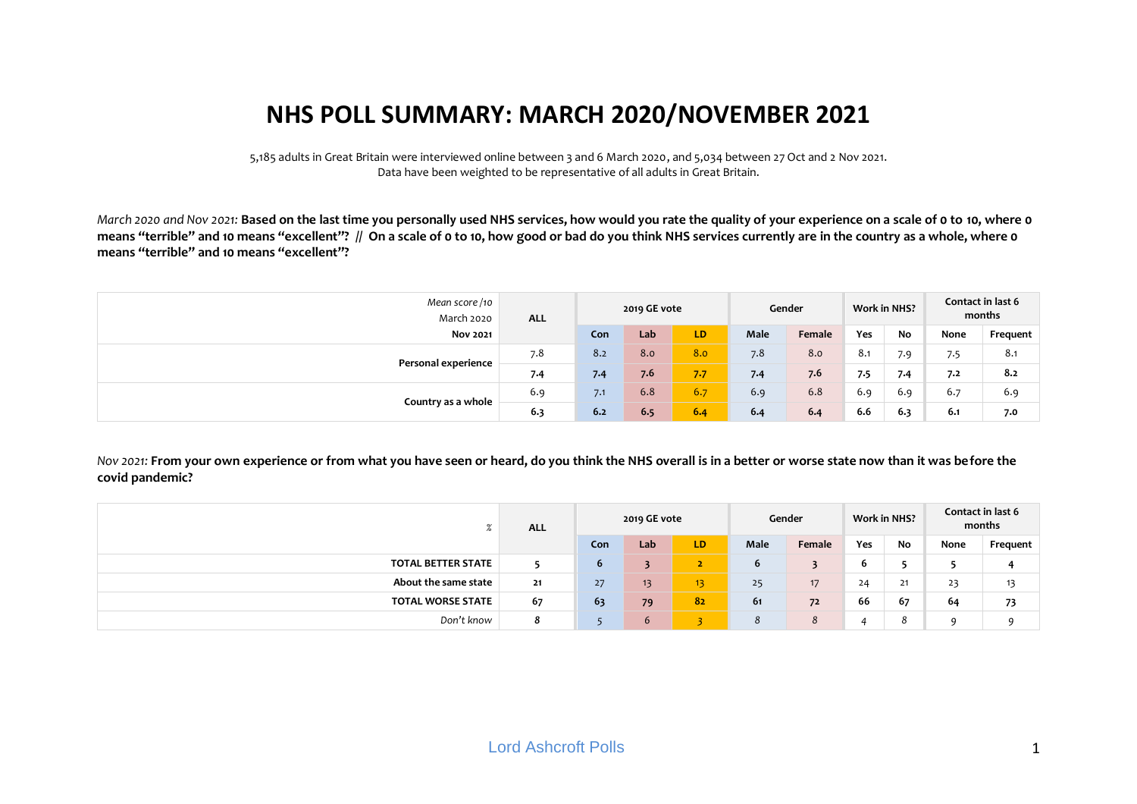# **NHS POLL SUMMARY: MARCH 2020/NOVEMBER 2021**

5,185 adults in Great Britain were interviewed online between 3 and 6 March 2020, and 5,034 between 27 Oct and 2 Nov 2021. Data have been weighted to be representative of all adults in Great Britain.

*March 2020 and Nov 2021:* **Based on the last time you personally used NHS services, how would you rate the quality of your experience on a scale of 0 to 10, where 0 means "terrible" and 10 means "excellent"? // On a scale of 0 to 10, how good or bad do you think NHS services currently are in the country as a whole, where 0 means "terrible" and 10 means "excellent"?**

| Mean score/10<br>March 2020 | <b>ALL</b> |     | 2019 GE vote |     |      | Gender |     | <b>Work in NHS?</b> |      | Contact in last 6<br>months |
|-----------------------------|------------|-----|--------------|-----|------|--------|-----|---------------------|------|-----------------------------|
| <b>Nov 2021</b>             |            | Con | Lab          | LD. | Male | Female | Yes | No                  | None | Frequent                    |
|                             | 7.8        | 8.2 | 8.0          | 8.0 | 7.8  | 8.0    | 8.1 | 7.9                 | 7.5  | 8.1                         |
| Personal experience         | 7.4        | 7.4 | 7.6          | 7.7 | 7.4  | 7.6    | 7.5 | 7.4                 | 7.2  | 8.2                         |
|                             | 6.9        | 7.1 | 6.8          | 6.7 | 6.9  | 6.8    | 6.9 | 6.9                 | 6.7  | 6.9                         |
| Country as a whole          | 6.3        | 6.2 | 6.5          | 6.4 | 6.4  | 6.4    | 6.6 | 6.3                 | 6.1  | 7.0                         |

*Nov 2021:* **From your own experience or from what you have seen or heard, do you think the NHS overall is in a better or worse state now than it was before the covid pandemic?**

|                           | <b>ALL</b> |            | 2019 GE vote |                 |      | Gender |     | <b>Work in NHS?</b> |      | Contact in last 6<br>months |
|---------------------------|------------|------------|--------------|-----------------|------|--------|-----|---------------------|------|-----------------------------|
|                           |            | Con        | Lab          | LD              | Male | Female | Yes | No                  | None | Frequent                    |
| <b>TOTAL BETTER STATE</b> |            | $\epsilon$ | 3            | z               | b    |        | 6   | -                   |      | 4                           |
| About the same state      | 21         | 27         | 13           | 13 <sub>1</sub> | 25   | 17     | 24  | 21                  | 23   | 13                          |
| <b>TOTAL WORSE STATE</b>  | 67         | 63         | 79           | 82              | 61   | 72     | 66  | 67                  | 64   | 73                          |
| Don't know                | ۰          |            | $\mathbf{6}$ | $\sim$          | 8    | 8      |     | 8                   | Q    | q                           |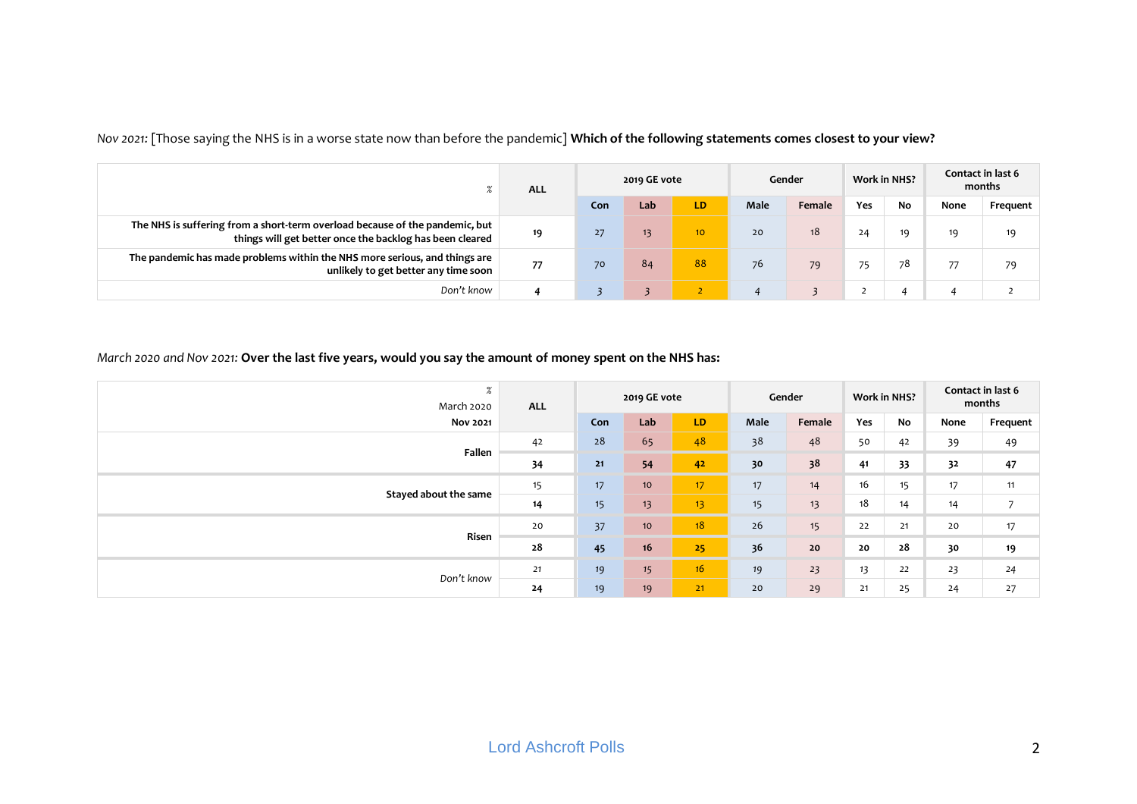|                                                                                                                                          | <b>ALL</b> |     | 2019 GE vote |                 |             | Gender          |     | <b>Work in NHS?</b> |      | Contact in last 6<br>months |
|------------------------------------------------------------------------------------------------------------------------------------------|------------|-----|--------------|-----------------|-------------|-----------------|-----|---------------------|------|-----------------------------|
|                                                                                                                                          |            | Con | Lab          | LD.             | <b>Male</b> | Female          | Yes | <b>No</b>           | None | Frequent                    |
| The NHS is suffering from a short-term overload because of the pandemic, but<br>things will get better once the backlog has been cleared | 19         | 27  | 13           | 10 <sup>°</sup> | 20          | 18 <sup>°</sup> | 24  | 19                  | 19   | 19                          |
| The pandemic has made problems within the NHS more serious, and things are<br>unlikely to get better any time soon                       | 77         | 70  | 84           | 88              | 76          | 79              | 75  | 78                  | 77   | 79                          |
| Don't know                                                                                                                               | 4          |     |              | ∠               |             |                 |     |                     |      |                             |

*Nov 2021:* [Those saying the NHS is in a worse state now than before the pandemic] **Which of the following statements comes closest to your view?**

#### *March 2020 and Nov 2021:* **Over the last five years, would you say the amount of money spent on the NHS has:**

| $\%$<br>March 2020    | <b>ALL</b> |     | 2019 GE vote    |                 |      | Gender |     | Work in NHS? |      | Contact in last 6<br>months |
|-----------------------|------------|-----|-----------------|-----------------|------|--------|-----|--------------|------|-----------------------------|
| <b>Nov 2021</b>       |            | Con | Lab             | LD.             | Male | Female | Yes | No           | None | Frequent                    |
| Fallen                | 42         | 28  | 65              | 48              | 38   | 48     | 50  | 42           | 39   | 49                          |
|                       | 34         | 21  | 54              | 42              | 30   | 38     | 41  | 33           | 32   | 47                          |
| Stayed about the same | 15         | 17  | 10 <sup>°</sup> | 17 <sup>1</sup> | 17   | 14     | 16  | 15           | 17   | 11                          |
|                       | 14         | 15  | 13              | 13 <sub>1</sub> | 15   | 13     | 18  | 14           | 14   | 7                           |
| Risen                 | 20         | 37  | 10 <sup>°</sup> | 18              | 26   | 15     | 22  | 21           | 20   | 17                          |
|                       | 28         | 45  | 16              | 25              | 36   | $20$   | 20  | 28           | 30   | 19                          |
| Don't know            | 21         | 19  | 15              | 16              | 19   | 23     | 13  | 22           | 23   | 24                          |
|                       | 24         | 19  | 19              | 21              | 20   | 29     | 21  | 25           | 24   | 27                          |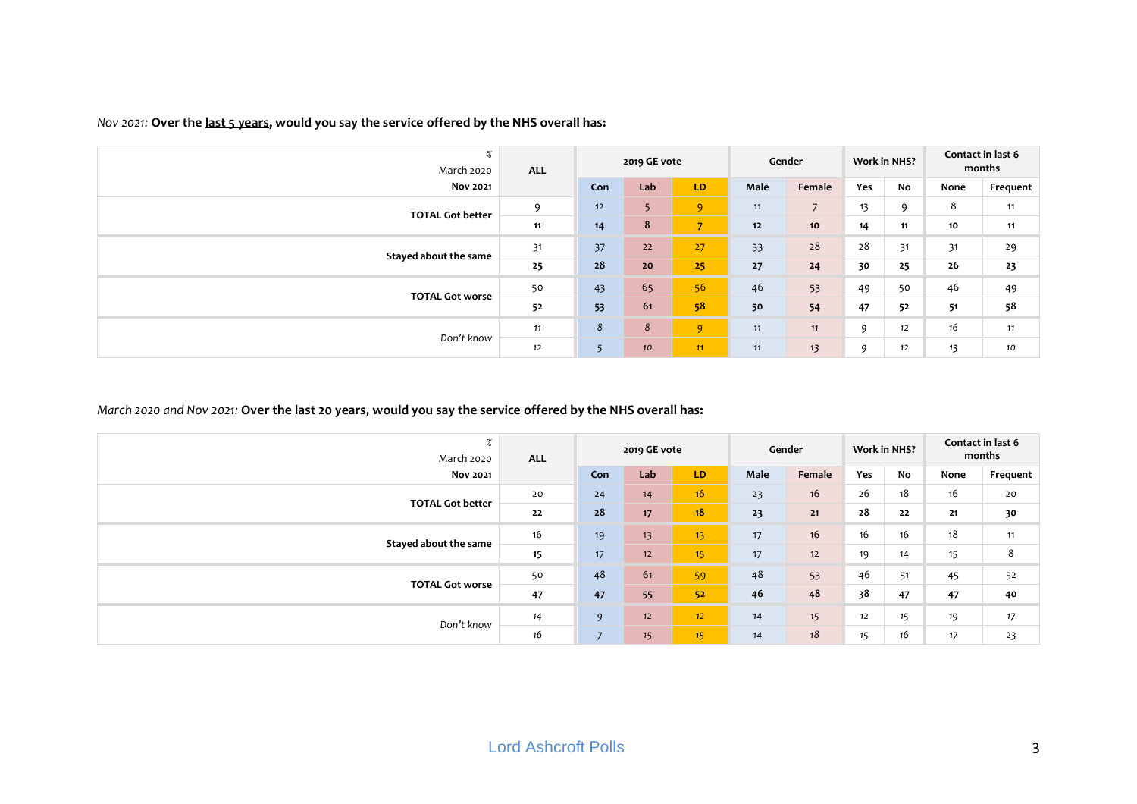| $\%$<br>March 2020      | <b>ALL</b> |      | 2019 GE vote   |                |      | Gender         |     | <b>Work in NHS?</b> |      | Contact in last 6<br>months |
|-------------------------|------------|------|----------------|----------------|------|----------------|-----|---------------------|------|-----------------------------|
| <b>Nov 2021</b>         |            | Con  | Lab            | LD.            | Male | Female         | Yes | No                  | None | Frequent                    |
| <b>TOTAL Got better</b> | 9          | $12$ | 5 <sup>5</sup> | 9              | 11   | $\overline{7}$ | 13  | 9                   | 8    | 11                          |
|                         | 11         | 14   | 8              | $\overline{7}$ | $12$ | 10             | 14  | 11                  | 10   | 11                          |
|                         | 31         | 37   | 22             | 27             | 33   | 28             | 28  | 31                  | 31   | 29                          |
| Stayed about the same   | 25         | 28   | 20             | 25             | 27   | 24             | 30  | 25                  | 26   | 23                          |
| <b>TOTAL Got worse</b>  | 50         | 43   | 65             | 56             | 46   | 53             | 49  | 50                  | 46   | 49                          |
|                         | 52         | 53   | 61             | 58             | 50   | 54             | 47  | 52                  | 51   | 58                          |
|                         | 11         | 8    | 8              | 9 <sup>°</sup> | 11   | 11             | 9   | 12                  | 16   | 11                          |
| Don't know              | 12         | 5    | 10             | 11             | 11   | 13             | 9   | 12                  | 13   | 10                          |

## *Nov 2021:* **Over the last 5 years, would you say the service offered by the NHS overall has:**

## *March 2020 and Nov 2021:* **Over the last 20 years, would you say the service offered by the NHS overall has:**

| $\%$<br>March 2020      | <b>ALL</b> |                | 2019 GE vote |                 |      | Gender | <b>Work in NHS?</b> |    |      | Contact in last 6<br>months |
|-------------------------|------------|----------------|--------------|-----------------|------|--------|---------------------|----|------|-----------------------------|
| <b>Nov 2021</b>         |            | Con            | Lab          | LD              | Male | Female | Yes                 | No | None | Frequent                    |
|                         | 20         | 24             | 14           | 16 <sup>2</sup> | 23   | 16     | 26                  | 18 | 16   | 20                          |
| <b>TOTAL Got better</b> | 22         | 28             | 17           | 18              | 23   | 21     | 28                  | 22 | 21   | 30                          |
|                         | 16         | 19             | 13           | 13 <sup>°</sup> | 17   | 16     | 16                  | 16 | 18   | 11                          |
| Stayed about the same   | 15         | 17             | 12           | 15 <sub>1</sub> | 17   | 12     | 19                  | 14 | 15   | 8                           |
| <b>TOTAL Got worse</b>  | 50         | 48             | 61           | 59              | 48   | 53     | 46                  | 51 | 45   | 52                          |
|                         | 47         | 47             | 55           | 52              | 46   | 48     | 38                  | 47 | 47   | 40                          |
| Don't know              | 14         | 9              | 12           | 12 <sup>2</sup> | 14   | 15     | 12                  | 15 | 19   | 17                          |
|                         | 16         | $\overline{ }$ | 15           | 15 <sub>1</sub> | 14   | 18     | 15                  | 16 | 17   | 23                          |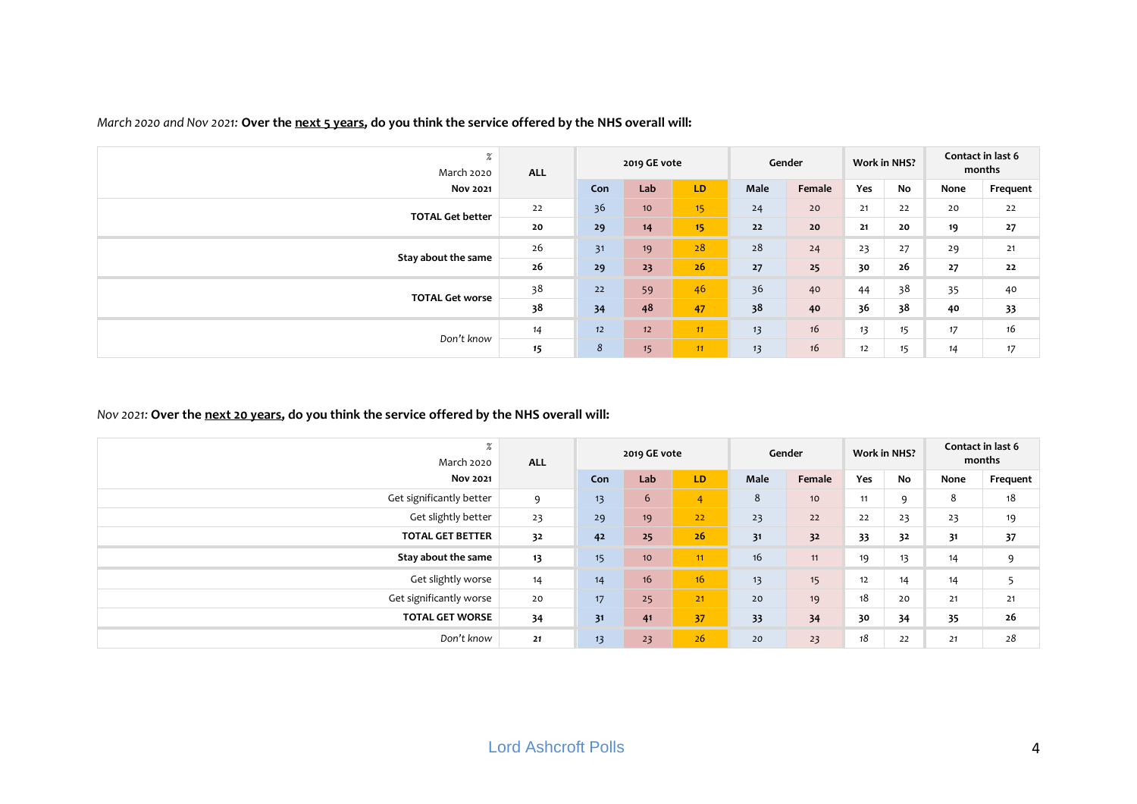| $\%$<br>March 2020      | <b>ALL</b> |     | 2019 GE vote    |    |      | Gender |     | <b>Work in NHS?</b> |      | Contact in last 6<br>months |
|-------------------------|------------|-----|-----------------|----|------|--------|-----|---------------------|------|-----------------------------|
| <b>Nov 2021</b>         |            | Con | Lab             | LD | Male | Female | Yes | No                  | None | Frequent                    |
| <b>TOTAL Get better</b> | 22         | 36  | 10 <sup>°</sup> | 15 | 24   | 20     | 21  | 22                  | 20   | 22                          |
|                         | 20         | 29  | 14              | 15 | 22   | 20     | 21  | 20                  | 19   | 27                          |
|                         | 26         | 31  | 19              | 28 | 28   | 24     | 23  | 27                  | 29   | 21                          |
| Stay about the same     | 26         | 29  | 23              | 26 | 27   | 25     | 30  | 26                  | 27   | 22                          |
|                         | 38         | 22  | 59              | 46 | 36   | 40     | 44  | 38                  | 35   | 40                          |
| <b>TOTAL Get worse</b>  | 38         | 34  | 48              | 47 | 38   | 40     | 36  | 38                  | 40   | 33                          |
|                         | 14         | 12  | 12              | 11 | 13   | 16     | 13  | 15                  | 17   | 16                          |
| Don't know              | 15         | 8   | 15              | 11 | 13   | 16     | 12  | 15                  | 14   | 17                          |

## *March 2020 and Nov 2021:* **Over the next 5 years, do you think the service offered by the NHS overall will:**

# *Nov 2021:* **Over the next 20 years, do you think the service offered by the NHS overall will:**

| $\%$<br>March 2020       | <b>ALL</b> |     | 2019 GE vote    |    |      | Gender |     | <b>Work in NHS?</b> |      | Contact in last 6<br>months |
|--------------------------|------------|-----|-----------------|----|------|--------|-----|---------------------|------|-----------------------------|
| <b>Nov 2021</b>          |            | Con | Lab             | LD | Male | Female | Yes | No                  | None | Frequent                    |
| Get significantly better | 9          | 13  | 6               | 4  | 8    | 10     | 11  | 9                   | 8    | 18                          |
| Get slightly better      | 23         | 29  | 19              | 22 | 23   | 22     | 22  | 23                  | 23   | 19                          |
| <b>TOTAL GET BETTER</b>  | 32         | 42  | 25              | 26 | 31   | 32     | 33  | 32                  | 31   | 37                          |
| Stay about the same      | 13         | 15  | 10 <sup>°</sup> | 11 | 16   | 11     | 19  | 13                  | 14   | 9                           |
| Get slightly worse       | 14         | 14  | 16              | 16 | 13   | 15     | 12  | 14                  | 14   | 5                           |
| Get significantly worse  | 20         | 17  | 25              | 21 | 20   | 19     | 18  | 20                  | 21   | $21$                        |
| <b>TOTAL GET WORSE</b>   | 34         | 31  | 41              | 37 | 33   | 34     | 30  | 34                  | 35   | 26                          |
| Don't know               | 21         | 13  | 23              | 26 | 20   | 23     | 18  | 22                  | 21   | 28                          |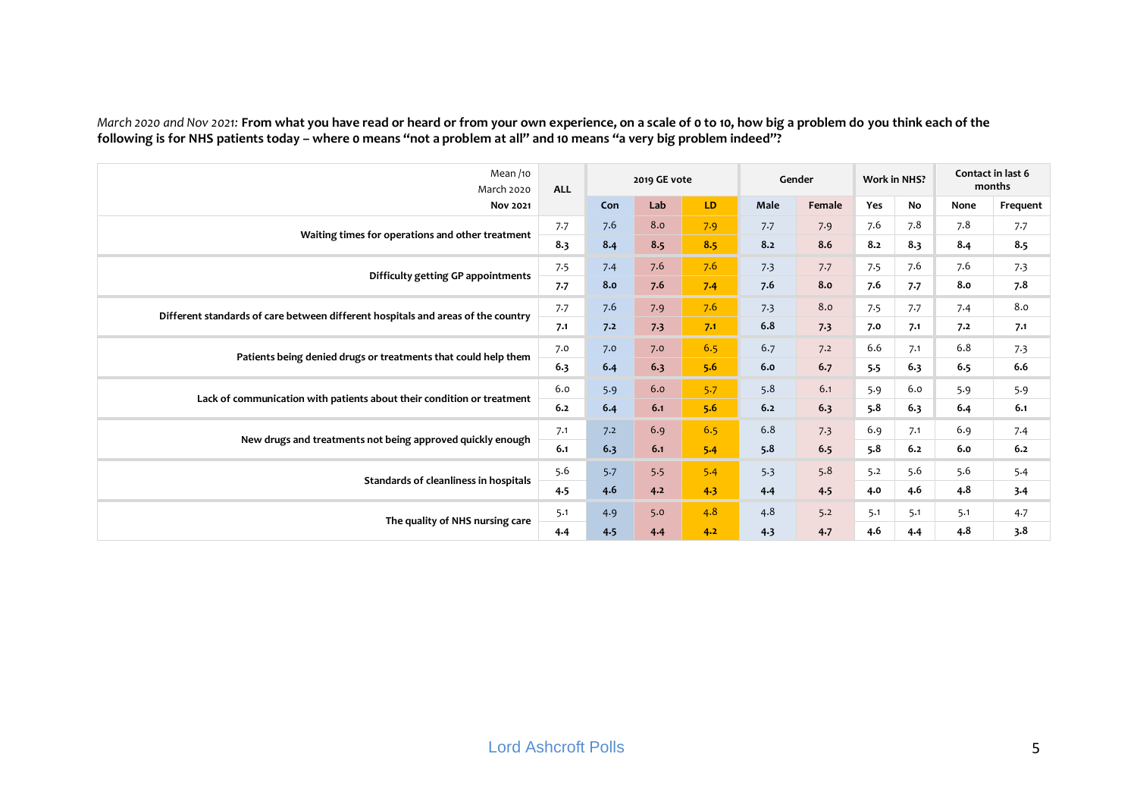*March 2020 and Nov 2021:* **From what you have read or heard or from your own experience, on a scale of 0 to 10, how big a problem do you think each of the following is for NHS patients today – where 0 means "not a problem at all" and 10 means "a very big problem indeed"?**

| Mean /10<br><b>March 2020</b>                                                    | <b>ALL</b> |     | 2019 GE vote |     |      | Gender |            | <b>Work in NHS?</b> |      | Contact in last 6<br>months |
|----------------------------------------------------------------------------------|------------|-----|--------------|-----|------|--------|------------|---------------------|------|-----------------------------|
| <b>Nov 2021</b>                                                                  |            | Con | Lab          | LD. | Male | Female | <b>Yes</b> | No                  | None | Frequent                    |
| Waiting times for operations and other treatment                                 | 7.7        | 7.6 | 8.0          | 7.9 | 7.7  | 7.9    | 7.6        | 7.8                 | 7.8  | 7.7                         |
|                                                                                  | 8.3        | 8.4 | 8.5          | 8.5 | 8.2  | 8.6    | 8.2        | 8.3                 | 8.4  | 8.5                         |
| Difficulty getting GP appointments                                               | 7.5        | 7.4 | 7.6          | 7.6 | 7.3  | 7.7    | 7.5        | 7.6                 | 7.6  | 7.3                         |
|                                                                                  | 7.7        | 8.0 | 7.6          | 7.4 | 7.6  | 8.0    | 7.6        | 7.7                 | 8.0  | 7.8                         |
| Different standards of care between different hospitals and areas of the country | 7.7        | 7.6 | 7.9          | 7.6 | 7.3  | 8.0    | 7.5        | 7.7                 | 7.4  | 8.0                         |
|                                                                                  | 7.1        | 7.2 | 7.3          | 7.1 | 6.8  | 7.3    | 7.0        | 7.1                 | 7.2  | 7.1                         |
| Patients being denied drugs or treatments that could help them                   | 7.0        | 7.0 | 7.0          | 6.5 | 6.7  | 7.2    | 6.6        | 7.1                 | 6.8  | 7.3                         |
|                                                                                  | 6.3        | 6.4 | 6.3          | 5.6 | 6.0  | 6.7    | 5.5        | 6.3                 | 6.5  | 6.6                         |
|                                                                                  | 6.0        | 5.9 | 6.0          | 5.7 | 5.8  | 6.1    | 5.9        | 6.0                 | 5.9  | 5.9                         |
| Lack of communication with patients about their condition or treatment           | 6.2        | 6.4 | 6.1          | 5.6 | 6.2  | 6.3    | 5.8        | 6.3                 | 6.4  | 6.1                         |
|                                                                                  | 7.1        | 7.2 | 6.9          | 6.5 | 6.8  | 7.3    | 6.9        | 7.1                 | 6.9  | 7.4                         |
| New drugs and treatments not being approved quickly enough                       | 6.1        | 6.3 | 6.1          | 5.4 | 5.8  | 6.5    | 5.8        | 6.2                 | 6.0  | 6.2                         |
|                                                                                  | 5.6        | 5.7 | 5.5          | 5.4 | 5.3  | 5.8    | 5.2        | 5.6                 | 5.6  | 5.4                         |
| Standards of cleanliness in hospitals                                            | 4.5        | 4.6 | 4.2          | 4.3 | 4.4  | 4.5    | 4.0        | 4.6                 | 4.8  | 3.4                         |
|                                                                                  | 5.1        | 4.9 | 5.0          | 4.8 | 4.8  | 5.2    | 5.1        | 5.1                 | 5.1  | 4.7                         |
| The quality of NHS nursing care                                                  | 4.4        | 4.5 | 4.4          | 4.2 | 4.3  | 4.7    | 4.6        | 4.4                 | 4.8  | 3.8                         |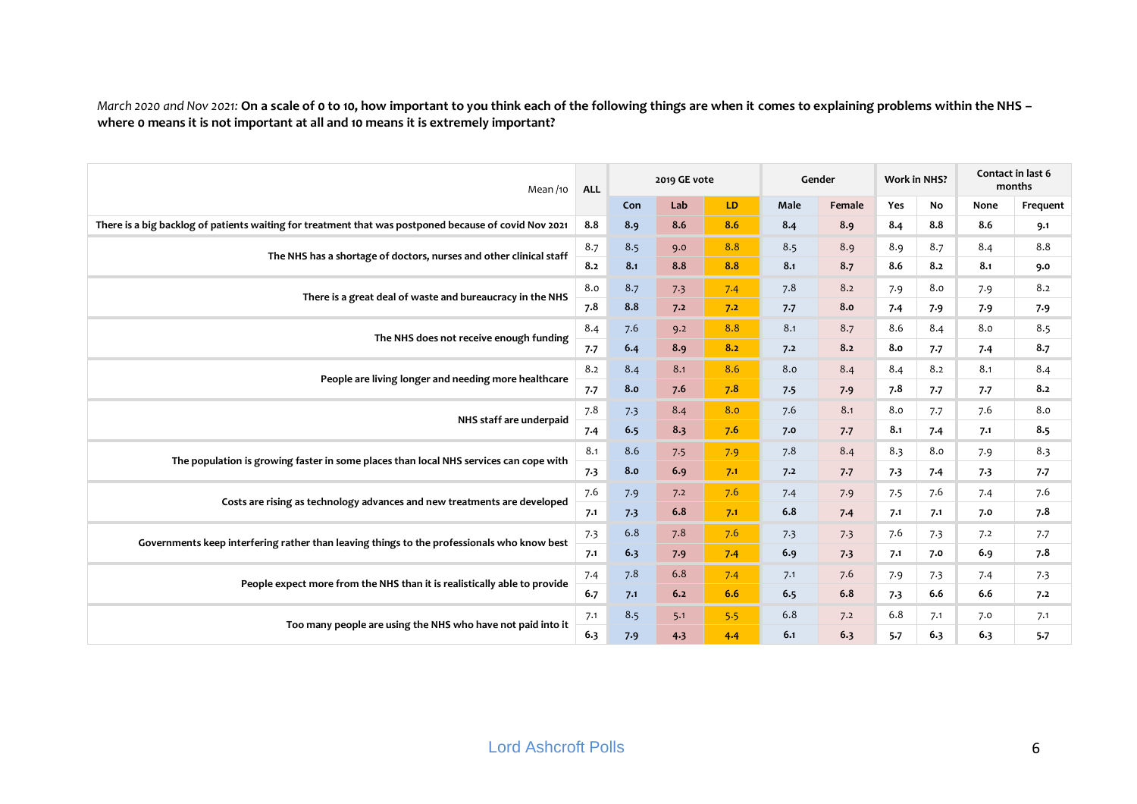*March 2020 and Nov 2021:* **On a scale of 0 to 10, how important to you think each of the following things are when it comes to explaining problems within the NHS – where 0 means it is not important at all and 10 means it is extremely important?**

| Mean /10                                                                                              | <b>ALL</b> |     | 2019 GE vote |     |      | Gender |     | <b>Work in NHS?</b> |      | Contact in last 6<br>months |
|-------------------------------------------------------------------------------------------------------|------------|-----|--------------|-----|------|--------|-----|---------------------|------|-----------------------------|
|                                                                                                       |            | Con | Lab          | LD. | Male | Female | Yes | No                  | None | Frequent                    |
| There is a big backlog of patients waiting for treatment that was postponed because of covid Nov 2021 | 8.8        | 8.9 | 8.6          | 8.6 | 8.4  | 8.9    | 8.4 | 8.8                 | 8.6  | 9.1                         |
| The NHS has a shortage of doctors, nurses and other clinical staff                                    | 8.7        | 8.5 | 9.0          | 8.8 | 8.5  | 8.9    | 8.9 | 8.7                 | 8.4  | 8.8                         |
|                                                                                                       | 8.2        | 8.1 | 8.8          | 8.8 | 8.1  | 8.7    | 8.6 | 8.2                 | 8.1  | 9.0                         |
|                                                                                                       | 8.0        | 8.7 | 7.3          | 7.4 | 7.8  | 8.2    | 7.9 | 8.0                 | 7.9  | 8.2                         |
| There is a great deal of waste and bureaucracy in the NHS                                             | 7.8        | 8.8 | 7.2          | 7.2 | 7.7  | 8.0    | 7.4 | 7.9                 | 7.9  | 7.9                         |
| The NHS does not receive enough funding                                                               | 8.4        | 7.6 | 9.2          | 8.8 | 8.1  | 8.7    | 8.6 | 8.4                 | 8.0  | 8.5                         |
|                                                                                                       | 7.7        | 6.4 | 8.9          | 8.2 | 7.2  | 8.2    | 8.0 | 7.7                 | 7.4  | 8.7                         |
| People are living longer and needing more healthcare                                                  | 8.2        | 8.4 | 8.1          | 8.6 | 8.0  | 8.4    | 8.4 | 8.2                 | 8.1  | 8.4                         |
|                                                                                                       | 7.7        | 8.0 | 7.6          | 7.8 | 7.5  | 7.9    | 7.8 | 7.7                 | 7.7  | 8.2                         |
|                                                                                                       | 7.8        | 7.3 | 8.4          | 8.0 | 7.6  | 8.1    | 8.0 | 7.7                 | 7.6  | 8.0                         |
| NHS staff are underpaid                                                                               | 7.4        | 6.5 | 8.3          | 7.6 | 7.0  | 7.7    | 8.1 | 7.4                 | 7.1  | 8.5                         |
|                                                                                                       | 8.1        | 8.6 | 7.5          | 7.9 | 7.8  | 8.4    | 8.3 | 8.0                 | 7.9  | 8.3                         |
| The population is growing faster in some places than local NHS services can cope with                 | 7.3        | 8.0 | 6.9          | 7.1 | 7.2  | 7.7    | 7.3 | 7.4                 | 7.3  | 7.7                         |
|                                                                                                       | 7.6        | 7.9 | 7.2          | 7.6 | 7.4  | 7.9    | 7.5 | 7.6                 | 7.4  | 7.6                         |
| Costs are rising as technology advances and new treatments are developed                              | 7.1        | 7.3 | 6.8          | 7.1 | 6.8  | 7.4    | 7.1 | 7.1                 | 7.0  | 7.8                         |
| Governments keep interfering rather than leaving things to the professionals who know best            | 7.3        | 6.8 | 7.8          | 7.6 | 7.3  | 7.3    | 7.6 | 7.3                 | 7.2  | 7.7                         |
|                                                                                                       | 7.1        | 6.3 | 7.9          | 7.4 | 6.9  | 7.3    | 7.1 | 7.0                 | 6.9  | 7.8                         |
| People expect more from the NHS than it is realistically able to provide                              | 7.4        | 7.8 | 6.8          | 7.4 | 7.1  | 7.6    | 7.9 | 7.3                 | 7.4  | 7.3                         |
|                                                                                                       | 6.7        | 7.1 | 6.2          | 6.6 | 6.5  | 6.8    | 7.3 | 6.6                 | 6.6  | 7.2                         |
|                                                                                                       | 7.1        | 8.5 | 5.1          | 5.5 | 6.8  | 7.2    | 6.8 | 7.1                 | 7.0  | 7.1                         |
| Too many people are using the NHS who have not paid into it                                           | 6.3        | 7.9 | 4.3          | 4.4 | 6.1  | 6.3    | 5.7 | 6.3                 | 6.3  | 5.7                         |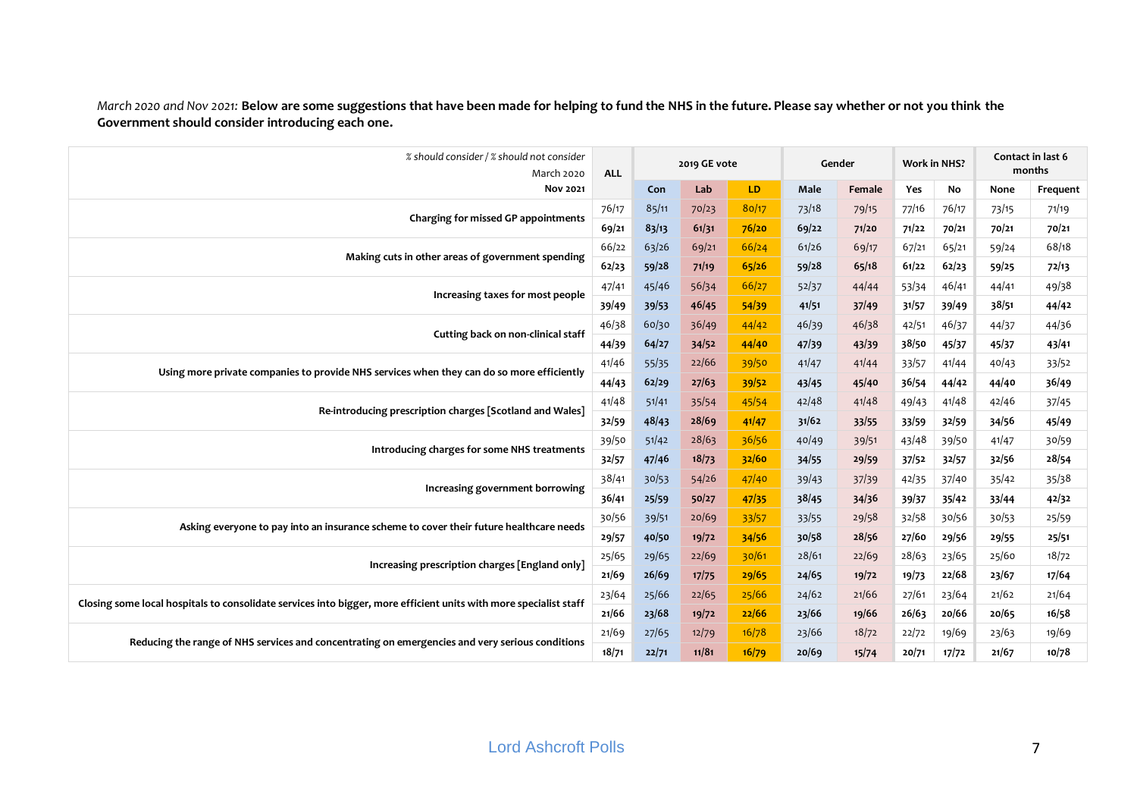| % should consider / % should not consider<br>March 2020                                                           | <b>ALL</b> |       | 2019 GE vote |       |       | Gender | <b>Work in NHS?</b> |       |       | Contact in last 6<br>months |
|-------------------------------------------------------------------------------------------------------------------|------------|-------|--------------|-------|-------|--------|---------------------|-------|-------|-----------------------------|
| <b>Nov 2021</b>                                                                                                   |            | Con   | Lab          | LD    | Male  | Female | Yes                 | No    | None  | Frequent                    |
|                                                                                                                   | 76/17      | 85/11 | 70/23        | 80/17 | 73/18 | 79/15  | 77/16               | 76/17 | 73/15 | 71/19                       |
| Charging for missed GP appointments                                                                               | 69/21      | 83/13 | 61/31        | 76/20 | 69/22 | 71/20  | 71/22               | 70/21 | 70/21 | 70/21                       |
|                                                                                                                   | 66/22      | 63/26 | 69/21        | 66/24 | 61/26 | 69/17  | 67/21               | 65/21 | 59/24 | 68/18                       |
| Making cuts in other areas of government spending                                                                 | 62/23      | 59/28 | 71/19        | 65/26 | 59/28 | 65/18  | 61/22               | 62/23 | 59/25 | 72/13                       |
| Increasing taxes for most people                                                                                  | 47/41      | 45/46 | 56/34        | 66/27 | 52/37 | 44/44  | 53/34               | 46/41 | 44/41 | 49/38                       |
|                                                                                                                   | 39/49      | 39/53 | 46/45        | 54/39 | 41/51 | 37/49  | 31/57               | 39/49 | 38/51 | 44/42                       |
|                                                                                                                   | 46/38      | 60/30 | 36/49        | 44/42 | 46/39 | 46/38  | 42/51               | 46/37 | 44/37 | 44/36                       |
| Cutting back on non-clinical staff                                                                                | 44/39      | 64/27 | 34/52        | 44/40 | 47/39 | 43/39  | 38/50               | 45/37 | 45/37 | 43/41                       |
| Using more private companies to provide NHS services when they can do so more efficiently                         | 41/46      | 55/35 | 22/66        | 39/50 | 41/47 | 41/44  | 33/57               | 41/44 | 40/43 | 33/52                       |
|                                                                                                                   | 44/43      | 62/29 | 27/63        | 39/52 | 43/45 | 45/40  | 36/54               | 44/42 | 44/40 | 36/49                       |
| Re-introducing prescription charges [Scotland and Wales]                                                          | 41/48      | 51/41 | 35/54        | 45/54 | 42/48 | 41/48  | 49/43               | 41/48 | 42/46 | 37/45                       |
|                                                                                                                   | 32/59      | 48/43 | 28/69        | 41/47 | 31/62 | 33/55  | 33/59               | 32/59 | 34/56 | 45/49                       |
|                                                                                                                   | 39/50      | 51/42 | 28/63        | 36/56 | 40/49 | 39/51  | 43/48               | 39/50 | 41/47 | 30/59                       |
| Introducing charges for some NHS treatments                                                                       | 32/57      | 47/46 | 18/73        | 32/60 | 34/55 | 29/59  | 37/52               | 32/57 | 32/56 | 28/54                       |
| Increasing government borrowing                                                                                   | 38/41      | 30/53 | 54/26        | 47/40 | 39/43 | 37/39  | 42/35               | 37/40 | 35/42 | 35/38                       |
|                                                                                                                   | 36/41      | 25/59 | 50/27        | 47/35 | 38/45 | 34/36  | 39/37               | 35/42 | 33/44 | 42/32                       |
| Asking everyone to pay into an insurance scheme to cover their future healthcare needs                            | 30/56      | 39/51 | 20/69        | 33/57 | 33/55 | 29/58  | 32/58               | 30/56 | 30/53 | 25/59                       |
|                                                                                                                   | 29/57      | 40/50 | 19/72        | 34/56 | 30/58 | 28/56  | 27/60               | 29/56 | 29/55 | 25/51                       |
| Increasing prescription charges [England only]                                                                    | 25/65      | 29/65 | 22/69        | 30/61 | 28/61 | 22/69  | 28/63               | 23/65 | 25/60 | 18/72                       |
|                                                                                                                   | 21/69      | 26/69 | 17/75        | 29/65 | 24/65 | 19/72  | 19/73               | 22/68 | 23/67 | 17/64                       |
| Closing some local hospitals to consolidate services into bigger, more efficient units with more specialist staff | 23/64      | 25/66 | 22/65        | 25/66 | 24/62 | 21/66  | 27/61               | 23/64 | 21/62 | 21/64                       |
|                                                                                                                   | 21/66      | 23/68 | 19/72        | 22/66 | 23/66 | 19/66  | 26/63               | 20/66 | 20/65 | 16/58                       |
| Reducing the range of NHS services and concentrating on emergencies and very serious conditions                   | 21/69      | 27/65 | 12/79        | 16/78 | 23/66 | 18/72  | 22/72               | 19/69 | 23/63 | 19/69                       |
|                                                                                                                   | 18/71      | 22/71 | 11/81        | 16/79 | 20/69 | 15/74  | 20/71               | 17/72 | 21/67 | 10/78                       |

*March 2020 and Nov 2021:* **Below are some suggestions that have been made for helping to fund the NHS in the future. Please say whether or not you think the Government should consider introducing each one.**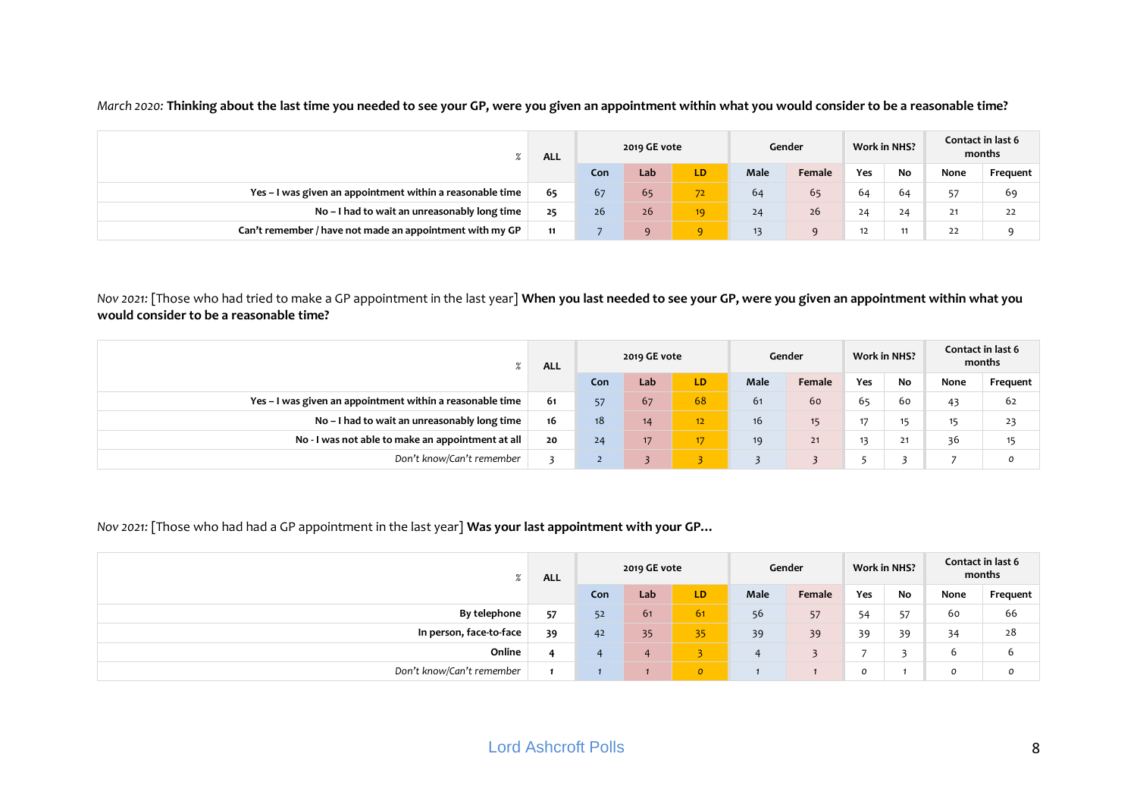| 70                                                        | <b>ALL</b> |     | 2019 GE vote |                 |      | Gender | <b>Work in NHS?</b> |    |      | Contact in last 6<br>months |
|-----------------------------------------------------------|------------|-----|--------------|-----------------|------|--------|---------------------|----|------|-----------------------------|
|                                                           |            | Con | Lab          | LD.             | Male | Female | Yes                 | No | None | Frequent                    |
| Yes - I was given an appointment within a reasonable time | 65         | 67  | 65           | 72.             | 64   | 65     | 64                  | 64 | 57   | 69                          |
| No - I had to wait an unreasonably long time              | 25         | 26  | 26           | 19 <sup>°</sup> | 24   | 26     | 24                  | 24 | 21   | 22                          |
| Can't remember / have not made an appointment with my GP  | 11         |     | $\mathbf{Q}$ | $\mathbf{Q}$    | 13   | a      | 12                  | 11 | 22   |                             |

*March 2020:* **Thinking about the last time you needed to see your GP, were you given an appointment within what you would consider to be a reasonable time?**

*Nov 2021:* [Those who had tried to make a GP appointment in the last year] **When you last needed to see your GP, were you given an appointment within what you would consider to be a reasonable time?**

|                                                           | <b>ALL</b> |     | 2019 GE vote |                 |             | Gender           |     | <b>Work in NHS?</b> |      | Contact in last 6<br>months |
|-----------------------------------------------------------|------------|-----|--------------|-----------------|-------------|------------------|-----|---------------------|------|-----------------------------|
|                                                           |            | Con | Lab          | LD.             | <b>Male</b> | Female           | Yes | No                  | None | Frequent                    |
| Yes - I was given an appointment within a reasonable time | 61         | 57  | 67           | 68              | 61          | 60               | 65  | 60                  | 43   | 62                          |
| No - I had to wait an unreasonably long time              | 16         | 18  | 14           | 12 <sub>2</sub> | 16          | 15 <sub>15</sub> |     | 15                  | 15   | 23                          |
| No - I was not able to make an appointment at all         | 20         | 24  | 17           | 17 <sup>2</sup> | 19          | 21               |     | 71<br>21            | 36   | $\overline{A}$<br>כי        |
| Don't know/Can't remember                                 |            |     |              |                 |             |                  |     |                     |      | 0                           |

*Nov 2021:* [Those who had had a GP appointment in the last year] **Was your last appointment with your GP…**

| $\mathbf{O}$<br>$\sqrt{2}$ | <b>ALL</b> |     | 2019 GE vote   |                |      | Gender | <b>Work in NHS?</b> |    |               | Contact in last 6<br>months |
|----------------------------|------------|-----|----------------|----------------|------|--------|---------------------|----|---------------|-----------------------------|
|                            |            | Con | Lab            | LD.            | Male | Female | Yes                 | No | None          | Frequent                    |
| By telephone               | 57         | 52  | 61             | 61             | 56   | 57     | 54                  | 57 | 60            | 66                          |
| In person, face-to-face    | 39         | 42  | 35             | 35             | 39   | 39     | 39                  | 39 | 34            | 28                          |
| Online                     |            | 4   | $\overline{4}$ |                | 4    |        |                     |    | b             | 6                           |
| Don't know/Can't remember  |            |     |                | $\overline{O}$ |      |        | 0                   |    | $\mathcal{O}$ | o                           |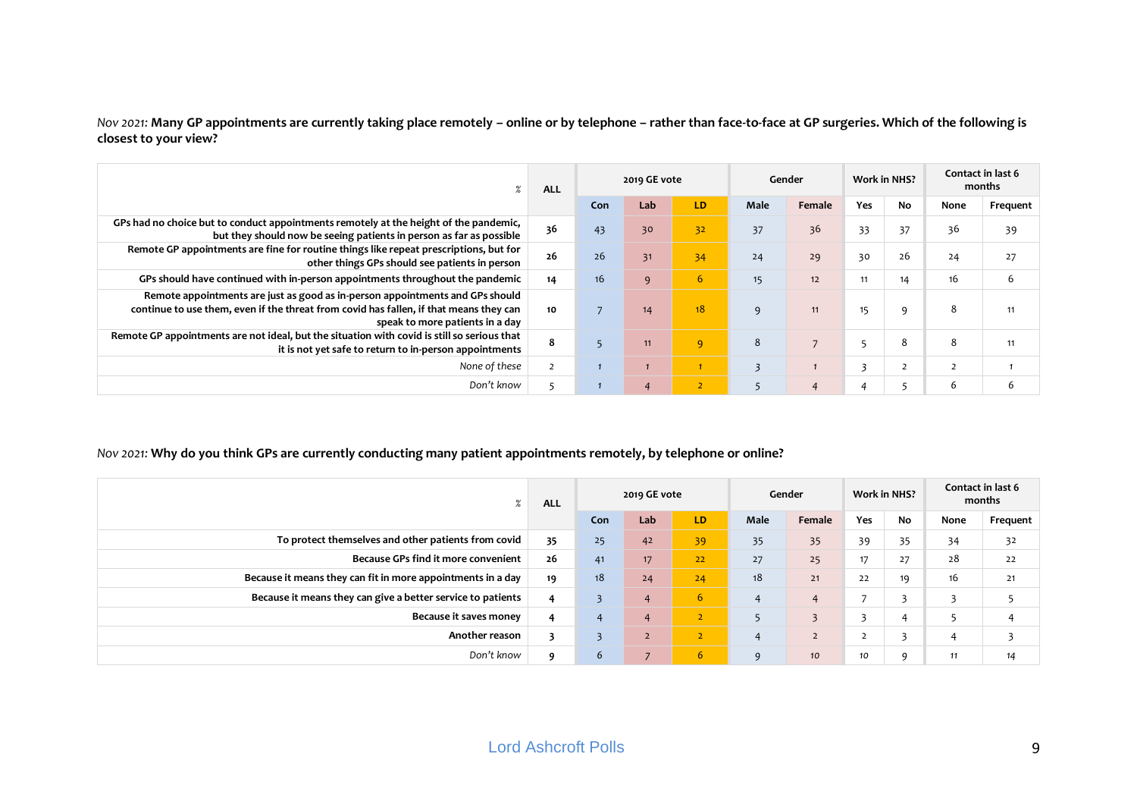*Nov 2021:* **Many GP appointments are currently taking place remotely – online or by telephone – rather than face-to-face at GP surgeries. Which of the following is closest to your view?**

| $\%$                                                                                                                                                                                                       | <b>ALL</b>     |                | 2019 GE vote   |                |                         | Gender |                         | <b>Work in NHS?</b> |      | Contact in last 6<br>months |
|------------------------------------------------------------------------------------------------------------------------------------------------------------------------------------------------------------|----------------|----------------|----------------|----------------|-------------------------|--------|-------------------------|---------------------|------|-----------------------------|
|                                                                                                                                                                                                            |                | Con            | Lab            | LD.            | <b>Male</b>             | Female | Yes                     | No                  | None | Frequent                    |
| GPs had no choice but to conduct appointments remotely at the height of the pandemic,<br>but they should now be seeing patients in person as far as possible                                               | 36             | 43             | 30             | 32             | 37                      | 36     | 33                      | 37                  | 36   | 39                          |
| Remote GP appointments are fine for routine things like repeat prescriptions, but for<br>other things GPs should see patients in person                                                                    | 26             | 26             | 31             | 34             | 24                      | 29     | 30                      | 26                  | 24   | 27                          |
| GPs should have continued with in-person appointments throughout the pandemic                                                                                                                              | 14             | 16             | 9              | 6 <sup>1</sup> | 15                      | 12     | 11                      | 14                  | 16   | 6                           |
| Remote appointments are just as good as in-person appointments and GPs should<br>continue to use them, even if the threat from covid has fallen, if that means they can<br>speak to more patients in a day | 10             | $\overline{7}$ | 14             | 18             | 9                       | 11     | 15                      | 9                   | 8    | 11                          |
| Remote GP appointments are not ideal, but the situation with covid is still so serious that<br>it is not yet safe to return to in-person appointments                                                      | 8              |                | 11             | 9              | 8                       |        |                         | 8                   | 8    | 11                          |
| None of these                                                                                                                                                                                              | $\overline{2}$ |                |                |                | $\overline{\mathbf{3}}$ |        | $\overline{\mathbf{3}}$ | $\overline{2}$      |      |                             |
| Don't know                                                                                                                                                                                                 | 5              |                | $\overline{4}$ | $\overline{2}$ |                         |        |                         | 5                   | 6    | 6                           |

#### *Nov 2021:* **Why do you think GPs are currently conducting many patient appointments remotely, by telephone or online?**

| $\%$                                                        | <b>ALL</b> |                | 2019 GE vote   |                |                | Gender                  |     | <b>Work in NHS?</b>      |      | Contact in last 6<br>months |
|-------------------------------------------------------------|------------|----------------|----------------|----------------|----------------|-------------------------|-----|--------------------------|------|-----------------------------|
|                                                             |            | Con            | Lab            | LD.            | Male           | Female                  | Yes | No                       | None | Frequent                    |
| To protect themselves and other patients from covid         | 35         | 25             | 42             | 39             | 35             | 35                      | 39  | 35                       | 34   | 32                          |
| Because GPs find it more convenient                         | 26         | 41             | 17             | 22             | 27             | 25                      | 17  | 27                       | 28   | 22                          |
| Because it means they can fit in more appointments in a day | 19         | 18             | 24             | 24             | 18             | 21                      | 22  | 19                       | 16   | 21                          |
| Because it means they can give a better service to patients | 4          |                | $\overline{4}$ | 6              | $\overline{4}$ | $\overline{4}$          |     |                          | 3    | 5                           |
| Because it saves money                                      | 4          | $\overline{4}$ | $\overline{4}$ | z              |                | $\overline{\mathbf{z}}$ |     | 4                        |      | 4                           |
| Another reason                                              |            |                | $\overline{2}$ | $\overline{2}$ | $\overline{4}$ | $\overline{2}$          |     | $\overline{\phantom{a}}$ |      |                             |
| Don't know                                                  | $\Omega$   | 6              | $\overline{ }$ | 6 <sub>1</sub> | q              | 10                      | 10  | q                        | 11   | 14                          |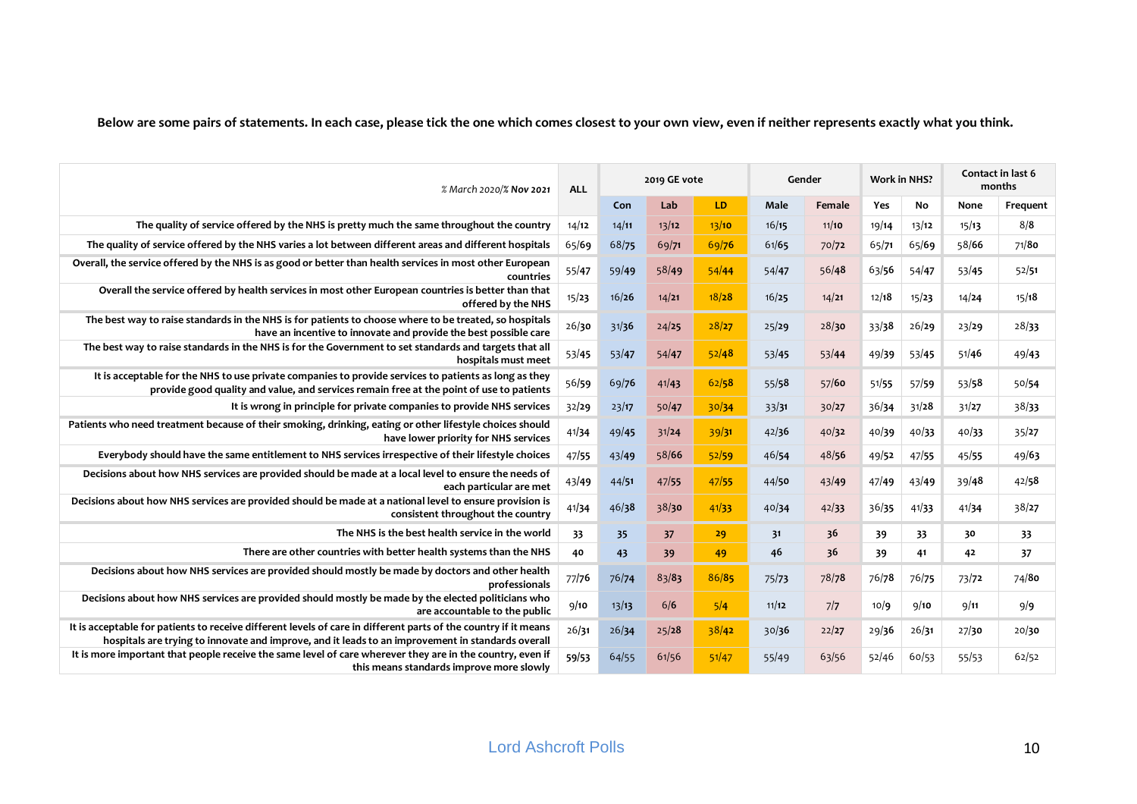**Below are some pairs of statements. In each case, please tick the one which comes closest to your own view, even if neither represents exactly what you think.**

| % March 2020/% Nov 2021                                                                                                                                                                                              | <b>ALL</b> |       | 2019 GE vote |       |       | Gender | <b>Work in NHS?</b> |           |       | Contact in last 6<br>months |
|----------------------------------------------------------------------------------------------------------------------------------------------------------------------------------------------------------------------|------------|-------|--------------|-------|-------|--------|---------------------|-----------|-------|-----------------------------|
|                                                                                                                                                                                                                      |            | Con   | Lab          | LD.   | Male  | Female | Yes                 | <b>No</b> | None  | Frequent                    |
| The quality of service offered by the NHS is pretty much the same throughout the country                                                                                                                             | 14/12      | 14/11 | 13/12        | 13/10 | 16/15 | 11/10  | 19/14               | 13/12     | 15/13 | 8/8                         |
| The quality of service offered by the NHS varies a lot between different areas and different hospitals                                                                                                               | 65/69      | 68/75 | 69/71        | 69/76 | 61/65 | 70/72  | 65/71               | 65/69     | 58/66 | 71/80                       |
| Overall, the service offered by the NHS is as good or better than health services in most other European<br>countries                                                                                                | 55/47      | 59/49 | 58/49        | 54/44 | 54/47 | 56/48  | 63/56               | 54/47     | 53/45 | 52/51                       |
| Overall the service offered by health services in most other European countries is better than that<br>offered by the NHS                                                                                            | 15/23      | 16/26 | 14/21        | 18/28 | 16/25 | 14/21  | 12/18               | 15/23     | 14/24 | 15/18                       |
| The best way to raise standards in the NHS is for patients to choose where to be treated, so hospitals<br>have an incentive to innovate and provide the best possible care                                           | 26/30      | 31/36 | 24/25        | 28/27 | 25/29 | 28/30  | 33/38               | 26/29     | 23/29 | 28/33                       |
| The best way to raise standards in the NHS is for the Government to set standards and targets that all<br>hospitals must meet                                                                                        | 53/45      | 53/47 | 54/47        | 52/48 | 53/45 | 53/44  | 49/39               | 53/45     | 51/46 | 49/43                       |
| It is acceptable for the NHS to use private companies to provide services to patients as long as they<br>provide good quality and value, and services remain free at the point of use to patients                    | 56/59      | 69/76 | 41/43        | 62/58 | 55/58 | 57/60  | 51/55               | 57/59     | 53/58 | 50/54                       |
| It is wrong in principle for private companies to provide NHS services                                                                                                                                               | 32/29      | 23/17 | 50/47        | 30/34 | 33/31 | 30/27  | 36/34               | 31/28     | 31/27 | 38/33                       |
| Patients who need treatment because of their smoking, drinking, eating or other lifestyle choices should<br>have lower priority for NHS services                                                                     | 41/34      | 49/45 | 31/24        | 39/31 | 42/36 | 40/32  | 40/39               | 40/33     | 40/33 | 35/27                       |
| Everybody should have the same entitlement to NHS services irrespective of their lifestyle choices                                                                                                                   | 47/55      | 43/49 | 58/66        | 52/59 | 46/54 | 48/56  | 49/52               | 47/55     | 45/55 | 49/63                       |
| Decisions about how NHS services are provided should be made at a local level to ensure the needs of<br>each particular are met                                                                                      | 43/49      | 44/51 | 47/55        | 47/55 | 44/50 | 43/49  | 47/49               | 43/49     | 39/48 | 42/58                       |
| Decisions about how NHS services are provided should be made at a national level to ensure provision is<br>consistent throughout the country                                                                         | 41/34      | 46/38 | 38/30        | 41/33 | 40/34 | 42/33  | 36/35               | 41/33     | 41/34 | 38/27                       |
| The NHS is the best health service in the world                                                                                                                                                                      | 33         | 35    | 37           | 29    | 31    | 36     | 39                  | 33        | 30    | 33                          |
| There are other countries with better health systems than the NHS                                                                                                                                                    | 40         | 43    | 39           | 49    | 46    | 36     | 39                  | 41        | 42    | 37                          |
| Decisions about how NHS services are provided should mostly be made by doctors and other health<br>professionals                                                                                                     | 77/76      | 76/74 | 83/83        | 86/85 | 75/73 | 78/78  | 76/78               | 76/75     | 73/72 | 74/8 <sub>0</sub>           |
| Decisions about how NHS services are provided should mostly be made by the elected politicians who<br>are accountable to the public                                                                                  | 9/10       | 13/13 | 6/6          | 5/4   | 11/12 | 7/7    | 10/9                | 9/10      | 9/11  | 9/9                         |
| It is acceptable for patients to receive different levels of care in different parts of the country if it means<br>hospitals are trying to innovate and improve, and it leads to an improvement in standards overall | 26/31      | 26/34 | 25/28        | 38/42 | 30/36 | 22/27  | 29/36               | 26/31     | 27/30 | 20/30                       |
| It is more important that people receive the same level of care wherever they are in the country, even if<br>this means standards improve more slowly                                                                | 59/53      | 64/55 | 61/56        | 51/47 | 55/49 | 63/56  | 52/46               | 60/53     | 55/53 | 62/52                       |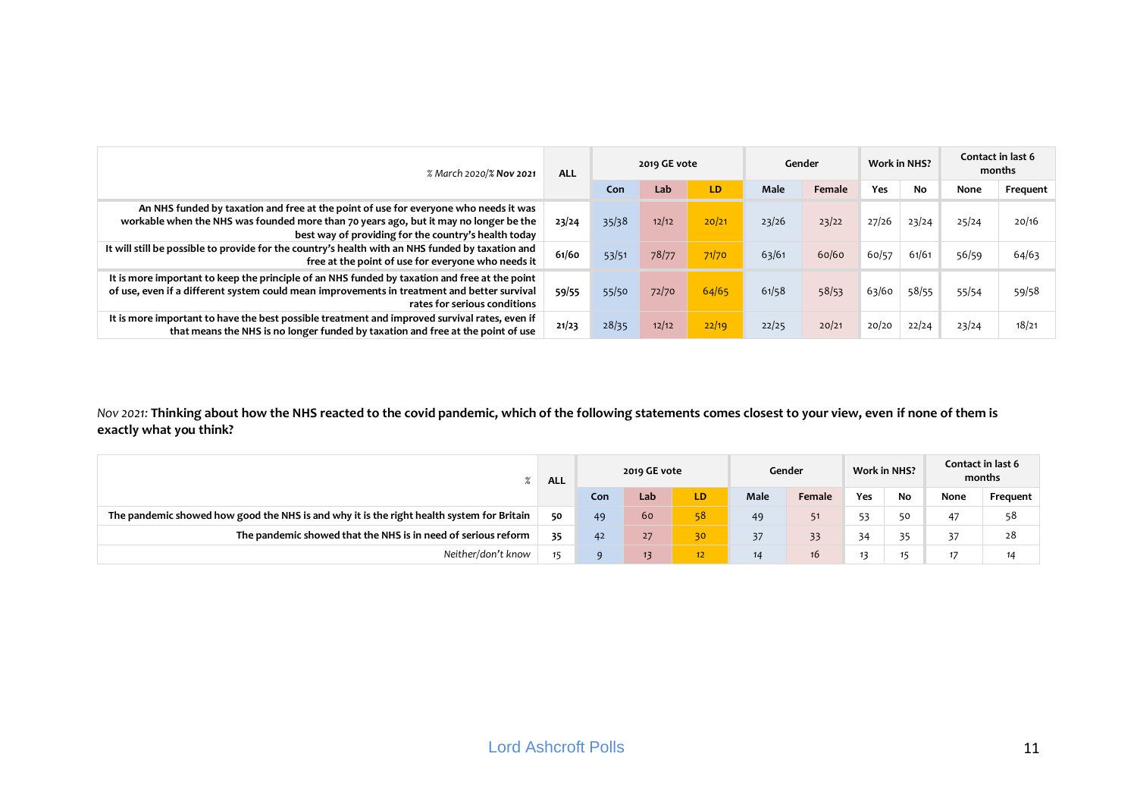| % March 2020/% Nov 2021                                                                                                                                                                                                               | <b>ALL</b> |       | 2019 GE vote |       |       | Gender |       | <b>Work in NHS?</b> | Contact in last 6<br>months |          |
|---------------------------------------------------------------------------------------------------------------------------------------------------------------------------------------------------------------------------------------|------------|-------|--------------|-------|-------|--------|-------|---------------------|-----------------------------|----------|
|                                                                                                                                                                                                                                       |            | Con   | Lab          | LD    | Male  | Female | Yes   | No                  | None                        | Frequent |
| An NHS funded by taxation and free at the point of use for everyone who needs it was<br>workable when the NHS was founded more than 70 years ago, but it may no longer be the<br>best way of providing for the country's health today | 23/24      | 35/38 | 12/12        | 20/21 | 23/26 | 23/22  | 27/26 | 23/24               | 25/24                       | 20/16    |
| It will still be possible to provide for the country's health with an NHS funded by taxation and<br>free at the point of use for everyone who needs it                                                                                | 61/60      | 53/51 | 78/77        | 71/70 | 63/61 | 60/60  | 60/57 | 61/61               | 56/59                       | 64/63    |
| It is more important to keep the principle of an NHS funded by taxation and free at the point<br>of use, even if a different system could mean improvements in treatment and better survival<br>rates for serious conditions          | 59/55      | 55/50 | 72/70        | 64/65 | 61/58 | 58/53  | 63/60 | 58/55               | 55/54                       | 59/58    |
| It is more important to have the best possible treatment and improved survival rates, even if<br>that means the NHS is no longer funded by taxation and free at the point of use                                                      | 21/23      | 28/35 | 12/12        | 22/19 | 22/25 | 20/21  | 20/20 | 22/24               | 23/24                       | 18/21    |

*Nov 2021:* **Thinking about how the NHS reacted to the covid pandemic, which of the following statements comes closest to your view, even if none of them is exactly what you think?**

|                                                                                           | <b>ALL</b> |     | 2019 GE vote |                 |      | Gender |     | <b>Work in NHS?</b> |      | Contact in last 6<br>months |
|-------------------------------------------------------------------------------------------|------------|-----|--------------|-----------------|------|--------|-----|---------------------|------|-----------------------------|
|                                                                                           |            | Con | Lab          | LD.             | Male | Female | Yes | No                  | None | Frequent                    |
| The pandemic showed how good the NHS is and why it is the right health system for Britain | 50         | 49  | 60           | 58              | 49   |        | 53  | 50                  | 47   | 58                          |
| The pandemic showed that the NHS is in need of serious reform                             | 35         | 42  | 27           | 30              | 37   | 33     | 34  | 35                  | 37   | 28                          |
| Neither/don't know                                                                        |            |     | 13           | 12 <sup>2</sup> | 14   | 16     |     | 15                  | 17   | 14                          |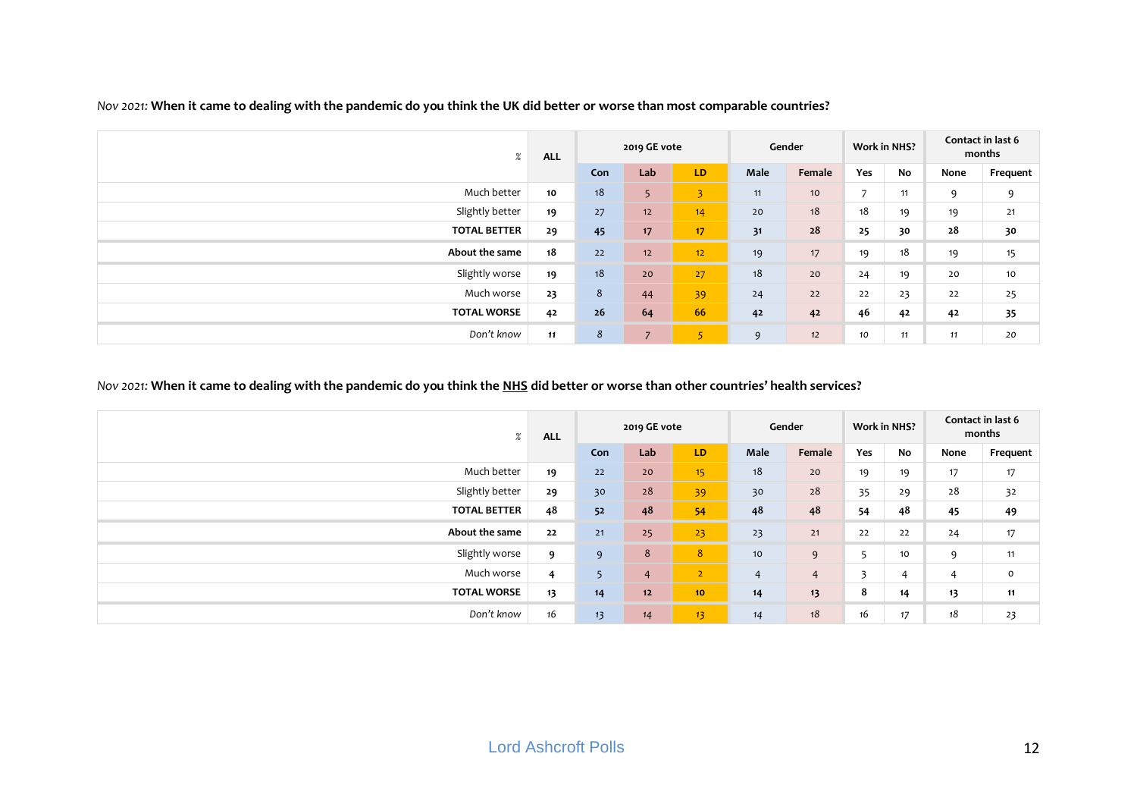| %                   | <b>ALL</b> |     | 2019 GE vote   |                 |      | Gender          | <b>Work in NHS?</b> |    |      | Contact in last 6<br>months |
|---------------------|------------|-----|----------------|-----------------|------|-----------------|---------------------|----|------|-----------------------------|
|                     |            | Con | Lab            | LD              | Male | Female          | Yes                 | No | None | Frequent                    |
| Much better         | 10         | 18  | 5              | 3               | 11   | 10 <sup>°</sup> | $\overline{ }$      | 11 | 9    | 9                           |
| Slightly better     | 19         | 27  | 12             | 14              | 20   | 18              | 18                  | 19 | 19   | 21                          |
| <b>TOTAL BETTER</b> | 29         | 45  | 17             | 17              | 31   | 28              | 25                  | 30 | 28   | 30                          |
| About the same      | 18         | 22  | 12             | 12 <sub>2</sub> | 19   | 17              | 19                  | 18 | 19   | 15                          |
| Slightly worse      | 19         | 18  | 20             | 27              | 18   | 20              | 24                  | 19 | 20   | 10                          |
| Much worse          | 23         | 8   | 44             | 39              | 24   | 22              | 22                  | 23 | 22   | 25                          |
| <b>TOTAL WORSE</b>  | 42         | 26  | 64             | 66              | 42   | 42              | 46                  | 42 | 42   | 35                          |
| Don't know          | 11         | 8   | $\overline{7}$ | 5               | 9    | 12              | 10                  | 11 | 11   | 20                          |

*Nov 2021:* **When it came to dealing with the pandemic do you think the UK did better or worse than most comparable countries?**

## *Nov 2021:* **When it came to dealing with the pandemic do you think the NHS did better or worse than other countries' health services?**

| $\%$                | <b>ALL</b>     |     | 2019 GE vote   |                  |                | Gender         | <b>Work in NHS?</b>     |    |      | Contact in last 6<br>months |
|---------------------|----------------|-----|----------------|------------------|----------------|----------------|-------------------------|----|------|-----------------------------|
|                     |                | Con | Lab            | LD.              | Male           | Female         | Yes                     | No | None | Frequent                    |
| Much better         | 19             | 22  | 20             | 15 <sub>15</sub> | 18             | 20             | 19                      | 19 | 17   | 17                          |
| Slightly better     | 29             | 30  | 28             | 39               | 30             | 28             | 35                      | 29 | 28   | 32                          |
| <b>TOTAL BETTER</b> | 48             | 52  | 48             | 54               | 48             | 48             | 54                      | 48 | 45   | 49                          |
| About the same      | 22             | 21  | 25             | 23               | 23             | 21             | 22                      | 22 | 24   | 17                          |
| Slightly worse      | 9              | 9   | 8              | 8                | 10             | 9              | -                       | 10 | 9    | 11                          |
| Much worse          | $\overline{4}$ | 5   | $\overline{4}$ | $\overline{2}$   | $\overline{4}$ | $\overline{4}$ | $\overline{\mathbf{3}}$ | 4  | 4    | $\mathsf{o}$                |
| <b>TOTAL WORSE</b>  | 13             | 14  | 12             | 10               | 14             | 13             | 8                       | 14 | 13   | 11                          |
| Don't know          | 16             | 13  | 14             | 13 <sup>2</sup>  | 14             | 18             | 16                      | 17 | 18   | 23                          |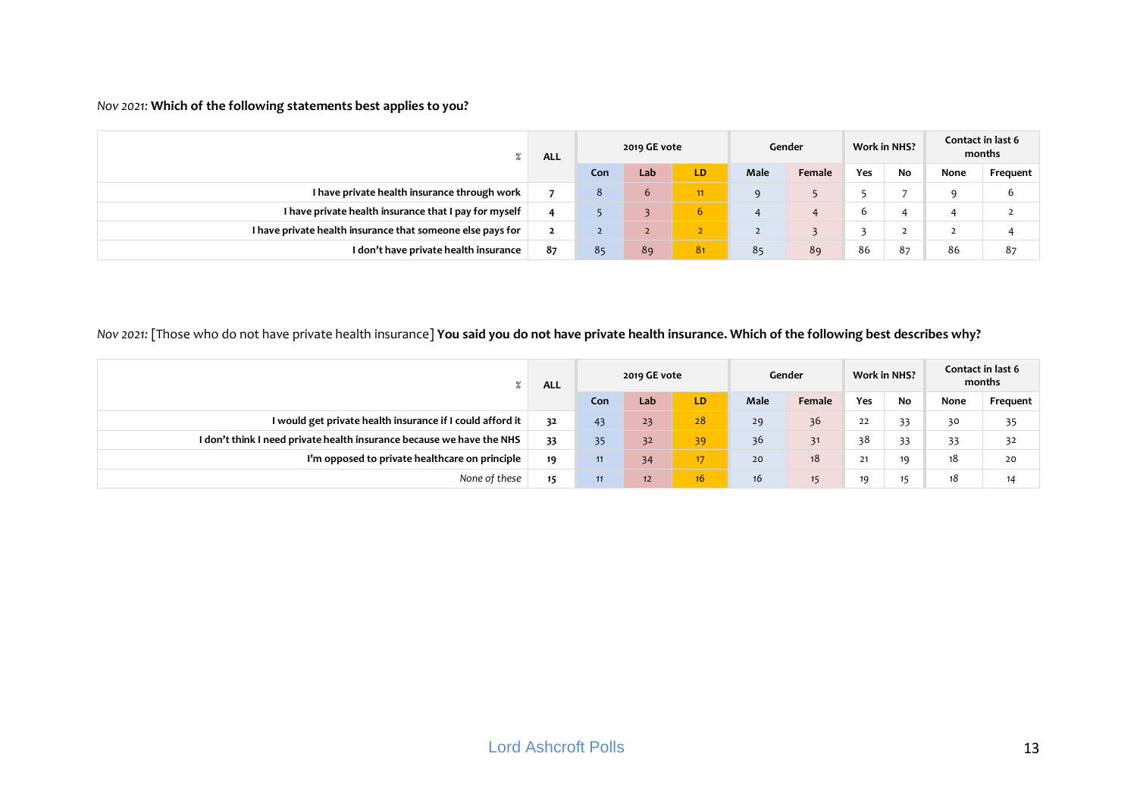## *Nov 2021:* **Which of the following statements best applies to you?**

| 70                                                         | <b>ALL</b> |     | 2019 GE vote |                |             | Gender |     | <b>Work in NHS?</b> |      | Contact in last 6<br>months |
|------------------------------------------------------------|------------|-----|--------------|----------------|-------------|--------|-----|---------------------|------|-----------------------------|
|                                                            |            | Con | Lab          | LD             | <b>Male</b> | Female | Yes | No                  | None | Frequent                    |
| I have private health insurance through work               |            | 8   | 6            | 11             | $\Omega$    |        |     |                     |      | ь                           |
| I have private health insurance that I pay for myself      | 4          |     |              | 6.             |             |        |     |                     |      |                             |
| I have private health insurance that someone else pays for | ∠          |     | $\mathbf{z}$ |                |             |        |     |                     | ∸    |                             |
| I don't have private health insurance                      | 87         | 85  | 89           | 8 <sub>1</sub> | 85          | 89     | 86  | 87                  | 86   | 87                          |

# *Nov 2021:* [Those who do not have private health insurance] **You said you do not have private health insurance. Which of the following best describes why?**

| 70                                                                    | <b>ALL</b> |     | 2019 GE vote |     |             | Gender |     | <b>Work in NHS?</b> |      | Contact in last 6<br>months |
|-----------------------------------------------------------------------|------------|-----|--------------|-----|-------------|--------|-----|---------------------|------|-----------------------------|
|                                                                       |            | Con | Lab          | LD. | <b>Male</b> | Female | Yes | No                  | None | Frequent                    |
| I would get private health insurance if I could afford it             | 32         | 43  | 23           | 28  | 29          | 36     | 22  | 33                  | 30   | 35                          |
| I don't think I need private health insurance because we have the NHS | 33         | 35  | 32           | 39  | 36          | 31     | 38  | 33                  | 33   | 32                          |
| I'm opposed to private healthcare on principle                        | 19         | 11  | 34           | 17  | 20          | 18     |     | 19                  | 18   | 20                          |
| None of these                                                         | 15         | 11  | 12           | 16. | 16          |        | 19  | 15                  | 18   | 14                          |